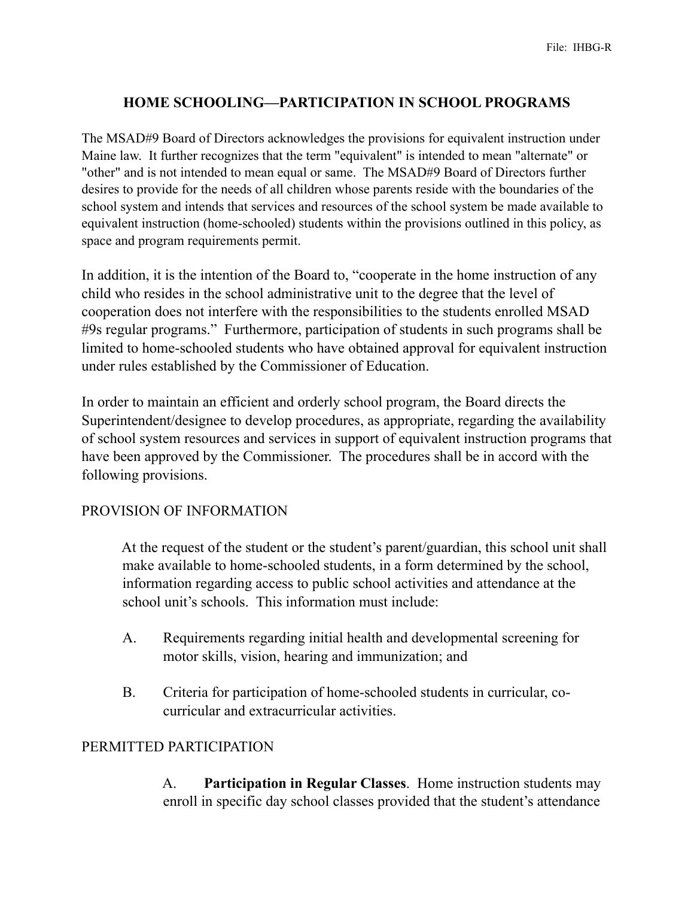## **HOME SCHOOLING—PARTICIPATION IN SCHOOL PROGRAMS**

The MSAD#9 Board of Directors acknowledges the provisions for equivalent instruction under Maine law. It further recognizes that the term "equivalent" is intended to mean "alternate" or "other" and is not intended to mean equal or same. The MSAD#9 Board of Directors further desires to provide for the needs of all children whose parents reside with the boundaries of the school system and intends that services and resources of the school system be made available to equivalent instruction (home-schooled) students within the provisions outlined in this policy, as space and program requirements permit.

In addition, it is the intention of the Board to, "cooperate in the home instruction of any child who resides in the school administrative unit to the degree that the level of cooperation does not interfere with the responsibilities to the students enrolled MSAD #9s regular programs." Furthermore, participation of students in such programs shall be limited to home-schooled students who have obtained approval for equivalent instruction under rules established by the Commissioner of Education.

In order to maintain an efficient and orderly school program, the Board directs the Superintendent/designee to develop procedures, as appropriate, regarding the availability of school system resources and services in support of equivalent instruction programs that have been approved by the Commissioner. The procedures shall be in accord with the following provisions.

#### PROVISION OF INFORMATION

 At the request of the student or the student's parent/guardian, this school unit shall make available to home-schooled students, in a form determined by the school, information regarding access to public school activities and attendance at the school unit's schools. This information must include:

- A. Requirements regarding initial health and developmental screening for motor skills, vision, hearing and immunization; and
- B. Criteria for participation of home-schooled students in curricular, cocurricular and extracurricular activities.

#### PERMITTED PARTICIPATION

 A. **Participation in Regular Classes**. Home instruction students may enroll in specific day school classes provided that the student's attendance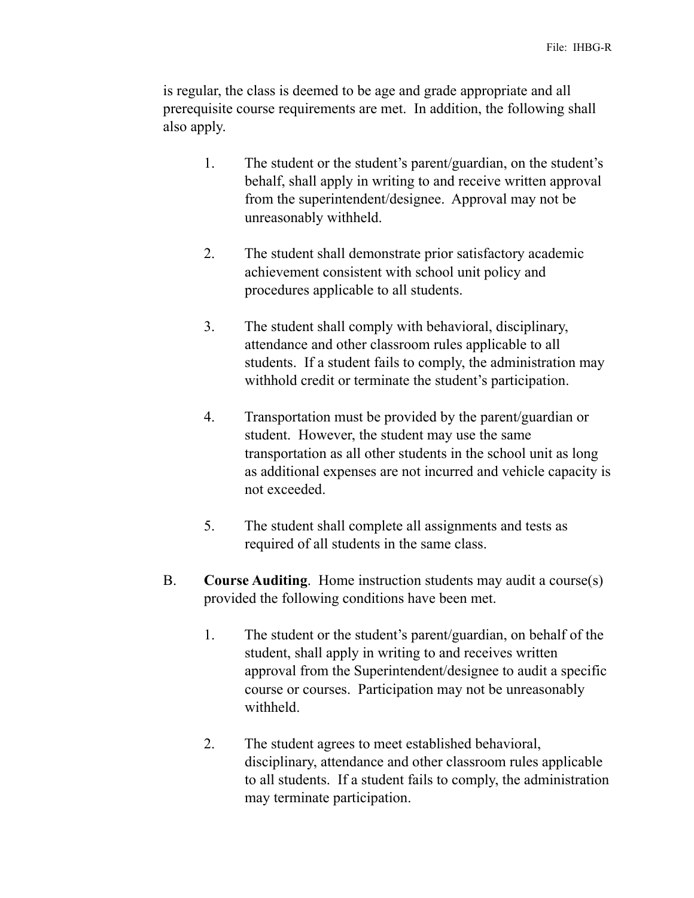is regular, the class is deemed to be age and grade appropriate and all prerequisite course requirements are met. In addition, the following shall also apply.

- 1. The student or the student's parent/guardian, on the student's behalf, shall apply in writing to and receive written approval from the superintendent/designee. Approval may not be unreasonably withheld.
- 2. The student shall demonstrate prior satisfactory academic achievement consistent with school unit policy and procedures applicable to all students.
- 3. The student shall comply with behavioral, disciplinary, attendance and other classroom rules applicable to all students. If a student fails to comply, the administration may withhold credit or terminate the student's participation.
- 4. Transportation must be provided by the parent/guardian or student. However, the student may use the same transportation as all other students in the school unit as long as additional expenses are not incurred and vehicle capacity is not exceeded.
- 5. The student shall complete all assignments and tests as required of all students in the same class.
- B. **Course Auditing**. Home instruction students may audit a course(s) provided the following conditions have been met.
	- 1. The student or the student's parent/guardian, on behalf of the student, shall apply in writing to and receives written approval from the Superintendent/designee to audit a specific course or courses. Participation may not be unreasonably withheld.
	- 2. The student agrees to meet established behavioral, disciplinary, attendance and other classroom rules applicable to all students. If a student fails to comply, the administration may terminate participation.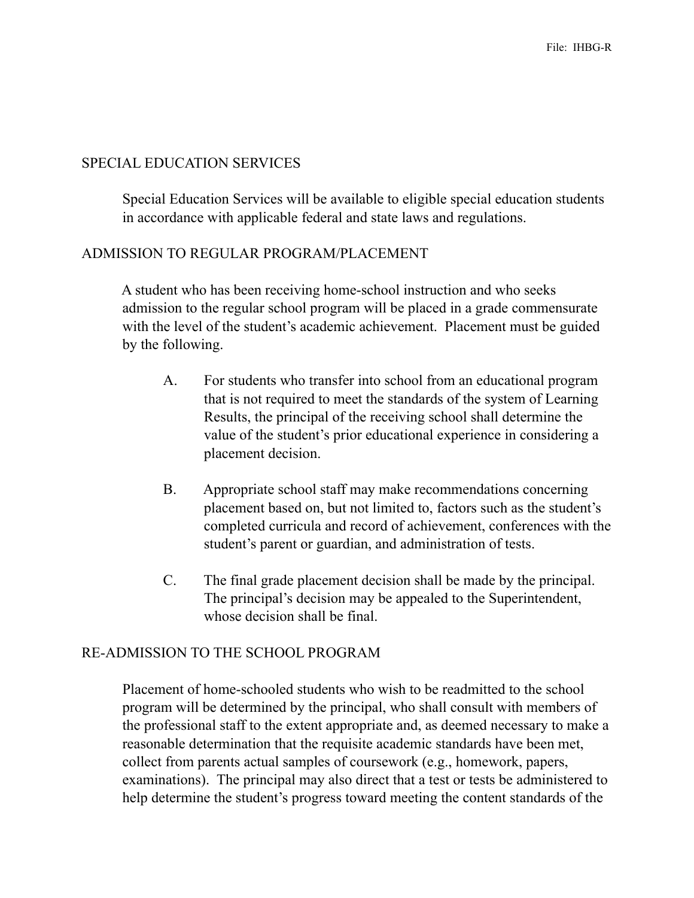## SPECIAL EDUCATION SERVICES

 Special Education Services will be available to eligible special education students in accordance with applicable federal and state laws and regulations.

## ADMISSION TO REGULAR PROGRAM/PLACEMENT

 A student who has been receiving home-school instruction and who seeks admission to the regular school program will be placed in a grade commensurate with the level of the student's academic achievement. Placement must be guided by the following.

- A. For students who transfer into school from an educational program that is not required to meet the standards of the system of Learning Results, the principal of the receiving school shall determine the value of the student's prior educational experience in considering a placement decision.
- B. Appropriate school staff may make recommendations concerning placement based on, but not limited to, factors such as the student's completed curricula and record of achievement, conferences with the student's parent or guardian, and administration of tests.
- C. The final grade placement decision shall be made by the principal. The principal's decision may be appealed to the Superintendent, whose decision shall be final.

## RE-ADMISSION TO THE SCHOOL PROGRAM

 Placement of home-schooled students who wish to be readmitted to the school program will be determined by the principal, who shall consult with members of the professional staff to the extent appropriate and, as deemed necessary to make a reasonable determination that the requisite academic standards have been met, collect from parents actual samples of coursework (e.g., homework, papers, examinations). The principal may also direct that a test or tests be administered to help determine the student's progress toward meeting the content standards of the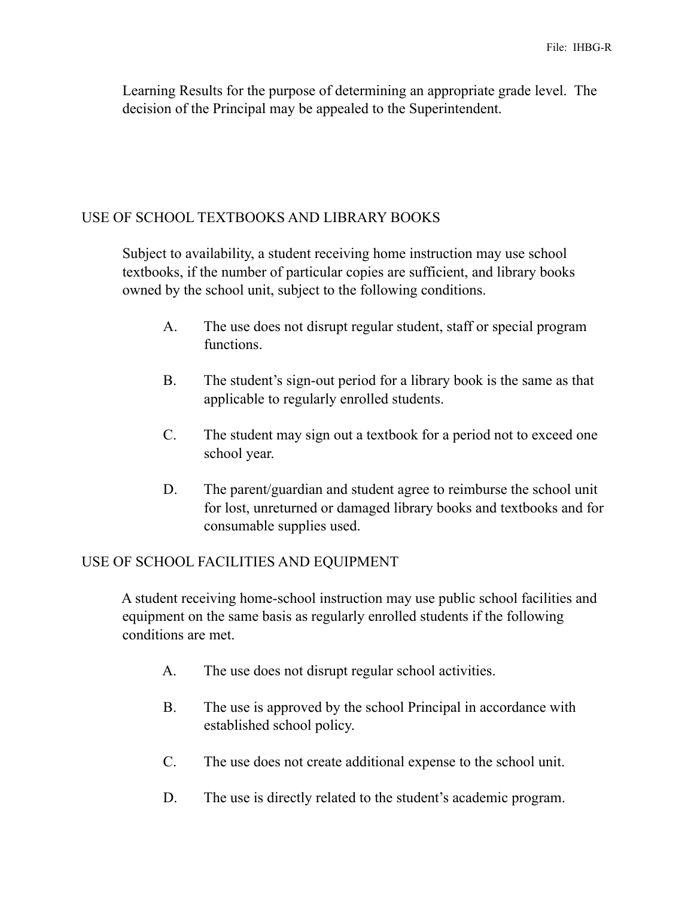Learning Results for the purpose of determining an appropriate grade level. The decision of the Principal may be appealed to the Superintendent.

## USE OF SCHOOL TEXTBOOKS AND LIBRARY BOOKS

 Subject to availability, a student receiving home instruction may use school textbooks, if the number of particular copies are sufficient, and library books owned by the school unit, subject to the following conditions.

- A. The use does not disrupt regular student, staff or special program functions.
- B. The student's sign-out period for a library book is the same as that applicable to regularly enrolled students.
- C. The student may sign out a textbook for a period not to exceed one school year.
- D. The parent/guardian and student agree to reimburse the school unit for lost, unreturned or damaged library books and textbooks and for consumable supplies used.

## USE OF SCHOOL FACILITIES AND EQUIPMENT

 A student receiving home-school instruction may use public school facilities and equipment on the same basis as regularly enrolled students if the following conditions are met.

- A. The use does not disrupt regular school activities.
- B. The use is approved by the school Principal in accordance with established school policy.
- C. The use does not create additional expense to the school unit.
- D. The use is directly related to the student's academic program.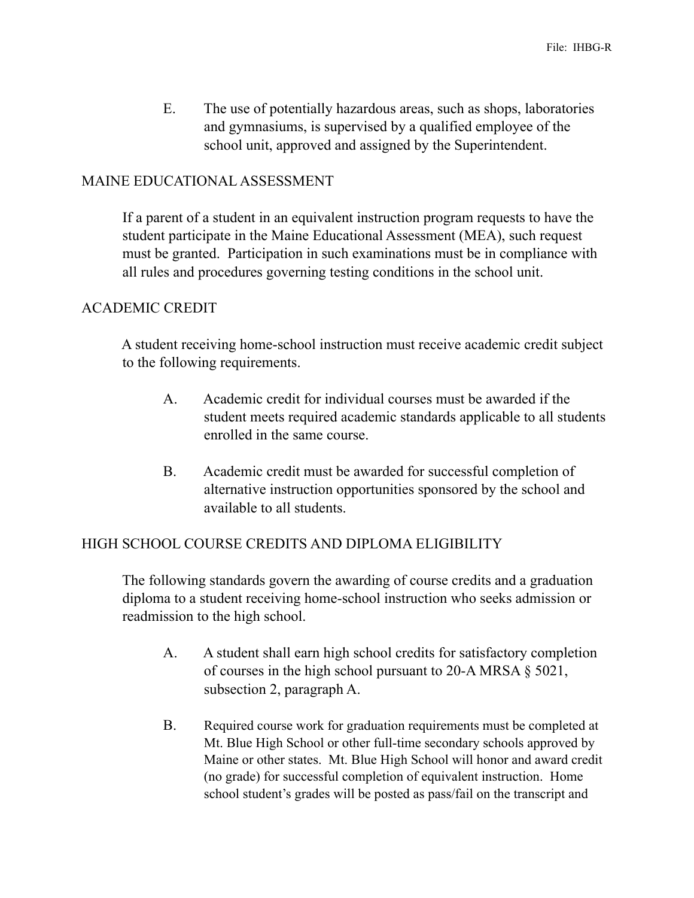E. The use of potentially hazardous areas, such as shops, laboratories and gymnasiums, is supervised by a qualified employee of the school unit, approved and assigned by the Superintendent.

#### MAINE EDUCATIONAL ASSESSMENT

 If a parent of a student in an equivalent instruction program requests to have the student participate in the Maine Educational Assessment (MEA), such request must be granted. Participation in such examinations must be in compliance with all rules and procedures governing testing conditions in the school unit.

## ACADEMIC CREDIT

 A student receiving home-school instruction must receive academic credit subject to the following requirements.

- A. Academic credit for individual courses must be awarded if the student meets required academic standards applicable to all students enrolled in the same course.
- B. Academic credit must be awarded for successful completion of alternative instruction opportunities sponsored by the school and available to all students.

## HIGH SCHOOL COURSE CREDITS AND DIPLOMA ELIGIBILITY

 The following standards govern the awarding of course credits and a graduation diploma to a student receiving home-school instruction who seeks admission or readmission to the high school.

- A. A student shall earn high school credits for satisfactory completion of courses in the high school pursuant to 20-A MRSA § 5021, subsection 2, paragraph A.
- B. Required course work for graduation requirements must be completed at Mt. Blue High School or other full-time secondary schools approved by Maine or other states. Mt. Blue High School will honor and award credit (no grade) for successful completion of equivalent instruction. Home school student's grades will be posted as pass/fail on the transcript and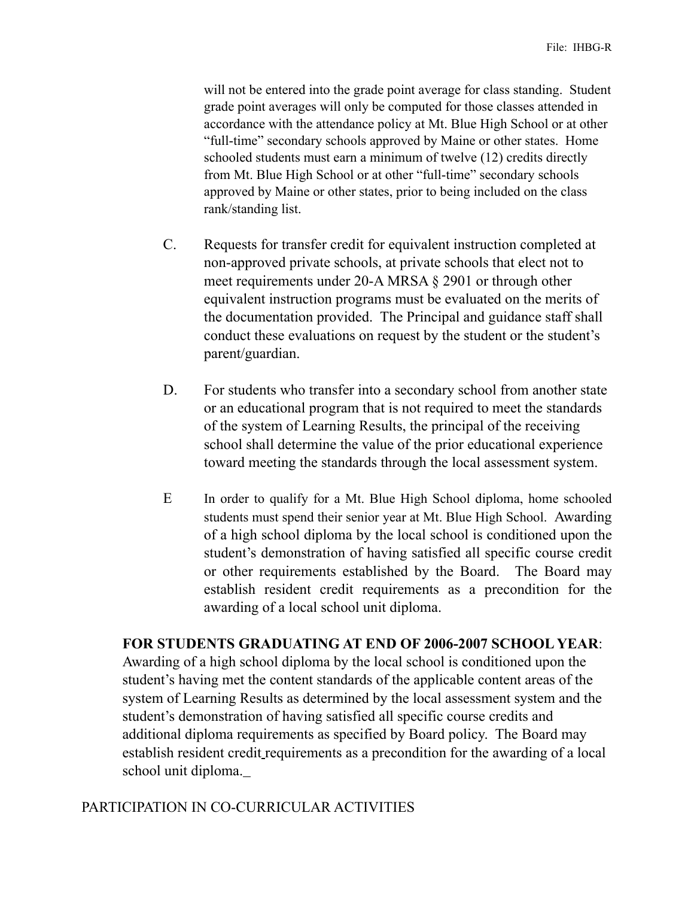will not be entered into the grade point average for class standing. Student grade point averages will only be computed for those classes attended in accordance with the attendance policy at Mt. Blue High School or at other "full-time" secondary schools approved by Maine or other states. Home schooled students must earn a minimum of twelve (12) credits directly from Mt. Blue High School or at other "full-time" secondary schools approved by Maine or other states, prior to being included on the class rank/standing list.

- C. Requests for transfer credit for equivalent instruction completed at non-approved private schools, at private schools that elect not to meet requirements under 20-A MRSA § 2901 or through other equivalent instruction programs must be evaluated on the merits of the documentation provided. The Principal and guidance staff shall conduct these evaluations on request by the student or the student's parent/guardian.
- D. For students who transfer into a secondary school from another state or an educational program that is not required to meet the standards of the system of Learning Results, the principal of the receiving school shall determine the value of the prior educational experience toward meeting the standards through the local assessment system.
- E In order to qualify for a Mt. Blue High School diploma, home schooled students must spend their senior year at Mt. Blue High School. Awarding of a high school diploma by the local school is conditioned upon the student's demonstration of having satisfied all specific course credit or other requirements established by the Board. The Board may establish resident credit requirements as a precondition for the awarding of a local school unit diploma.

#### **FOR STUDENTS GRADUATING AT END OF 2006-2007 SCHOOL YEAR**:

Awarding of a high school diploma by the local school is conditioned upon the student's having met the content standards of the applicable content areas of the system of Learning Results as determined by the local assessment system and the student's demonstration of having satisfied all specific course credits and additional diploma requirements as specified by Board policy. The Board may establish resident credit requirements as a precondition for the awarding of a local school unit diploma.

## PARTICIPATION IN CO-CURRICULAR ACTIVITIES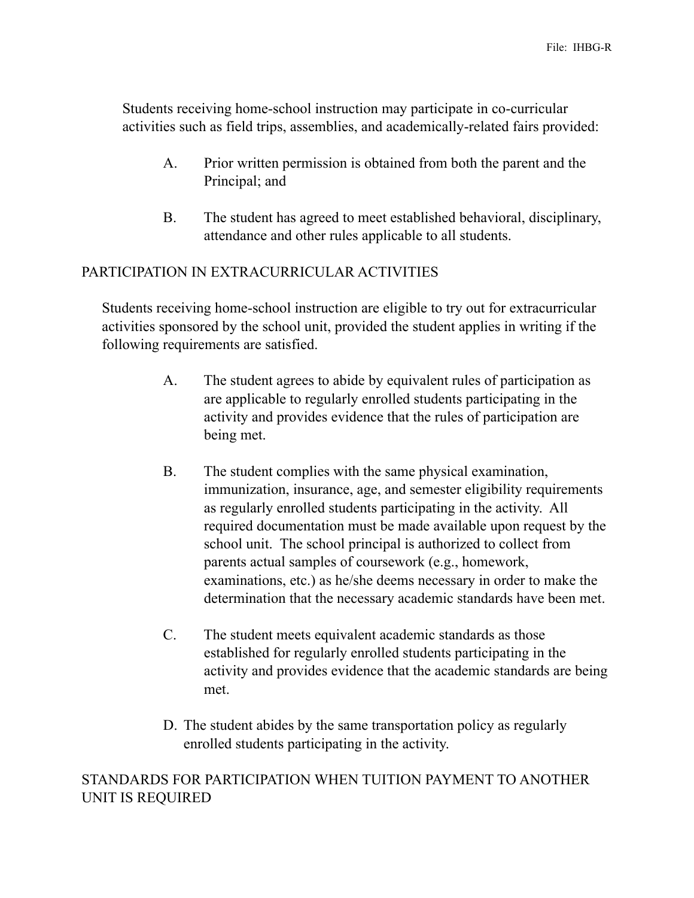Students receiving home-school instruction may participate in co-curricular activities such as field trips, assemblies, and academically-related fairs provided:

- A. Prior written permission is obtained from both the parent and the Principal; and
- B. The student has agreed to meet established behavioral, disciplinary, attendance and other rules applicable to all students.

## PARTICIPATION IN EXTRACURRICULAR ACTIVITIES

 Students receiving home-school instruction are eligible to try out for extracurricular activities sponsored by the school unit, provided the student applies in writing if the following requirements are satisfied.

- A. The student agrees to abide by equivalent rules of participation as are applicable to regularly enrolled students participating in the activity and provides evidence that the rules of participation are being met.
- B. The student complies with the same physical examination, immunization, insurance, age, and semester eligibility requirements as regularly enrolled students participating in the activity. All required documentation must be made available upon request by the school unit. The school principal is authorized to collect from parents actual samples of coursework (e.g., homework, examinations, etc.) as he/she deems necessary in order to make the determination that the necessary academic standards have been met.
- C. The student meets equivalent academic standards as those established for regularly enrolled students participating in the activity and provides evidence that the academic standards are being met.
- D. The student abides by the same transportation policy as regularly enrolled students participating in the activity.

# STANDARDS FOR PARTICIPATION WHEN TUITION PAYMENT TO ANOTHER UNIT IS REQUIRED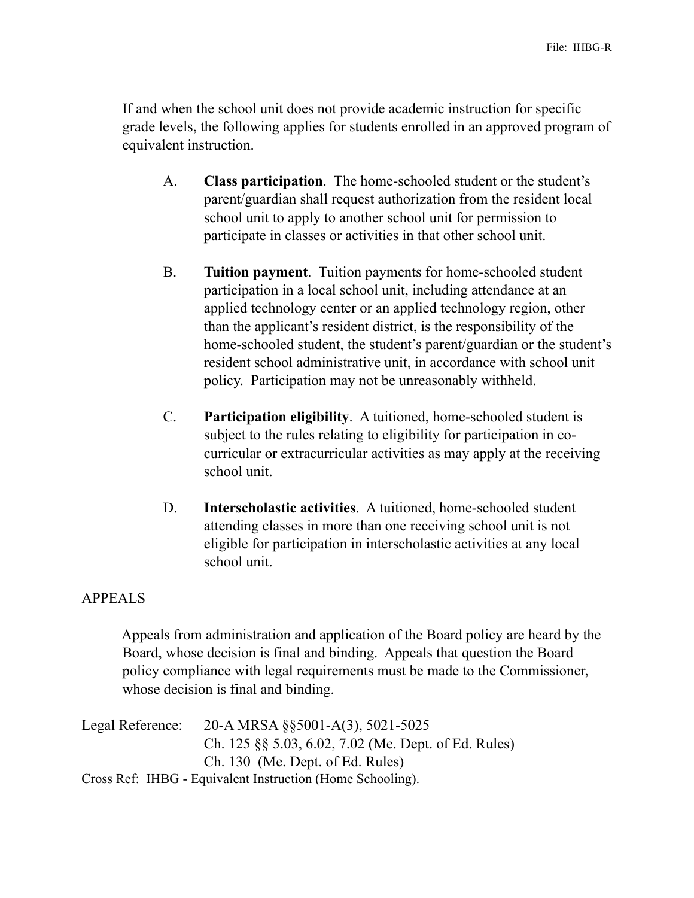If and when the school unit does not provide academic instruction for specific grade levels, the following applies for students enrolled in an approved program of equivalent instruction.

- A. **Class participation**. The home-schooled student or the student's parent/guardian shall request authorization from the resident local school unit to apply to another school unit for permission to participate in classes or activities in that other school unit.
- B. **Tuition payment**. Tuition payments for home-schooled student participation in a local school unit, including attendance at an applied technology center or an applied technology region, other than the applicant's resident district, is the responsibility of the home-schooled student, the student's parent/guardian or the student's resident school administrative unit, in accordance with school unit policy. Participation may not be unreasonably withheld.
- C. **Participation eligibility**. A tuitioned, home-schooled student is subject to the rules relating to eligibility for participation in cocurricular or extracurricular activities as may apply at the receiving school unit.
- D. **Interscholastic activities**. A tuitioned, home-schooled student attending classes in more than one receiving school unit is not eligible for participation in interscholastic activities at any local school unit.

## APPEALS

 Appeals from administration and application of the Board policy are heard by the Board, whose decision is final and binding. Appeals that question the Board policy compliance with legal requirements must be made to the Commissioner, whose decision is final and binding.

Legal Reference: 20-A MRSA §§5001-A(3), 5021-5025 Ch. 125 §§ 5.03, 6.02, 7.02 (Me. Dept. of Ed. Rules) Ch. 130 (Me. Dept. of Ed. Rules) Cross Ref:IHBG - Equivalent Instruction (Home Schooling).